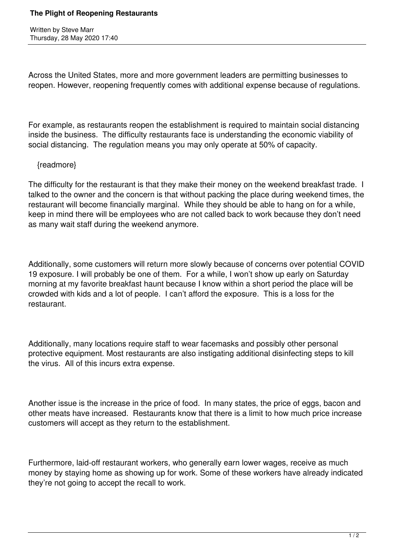## **The Plight of Reopening Restaurants**

Written by Steve Marr Thursday, 28 May 2020 17:40

Across the United States, more and more government leaders are permitting businesses to reopen. However, reopening frequently comes with additional expense because of regulations.

For example, as restaurants reopen the establishment is required to maintain social distancing inside the business. The difficulty restaurants face is understanding the economic viability of social distancing. The regulation means you may only operate at 50% of capacity.

## {readmore}

The difficulty for the restaurant is that they make their money on the weekend breakfast trade. I talked to the owner and the concern is that without packing the place during weekend times, the restaurant will become financially marginal. While they should be able to hang on for a while, keep in mind there will be employees who are not called back to work because they don't need as many wait staff during the weekend anymore.

Additionally, some customers will return more slowly because of concerns over potential COVID 19 exposure. I will probably be one of them. For a while, I won't show up early on Saturday morning at my favorite breakfast haunt because I know within a short period the place will be crowded with kids and a lot of people. I can't afford the exposure. This is a loss for the restaurant.

Additionally, many locations require staff to wear facemasks and possibly other personal protective equipment. Most restaurants are also instigating additional disinfecting steps to kill the virus. All of this incurs extra expense.

Another issue is the increase in the price of food. In many states, the price of eggs, bacon and other meats have increased. Restaurants know that there is a limit to how much price increase customers will accept as they return to the establishment.

Furthermore, laid-off restaurant workers, who generally earn lower wages, receive as much money by staying home as showing up for work. Some of these workers have already indicated they're not going to accept the recall to work.